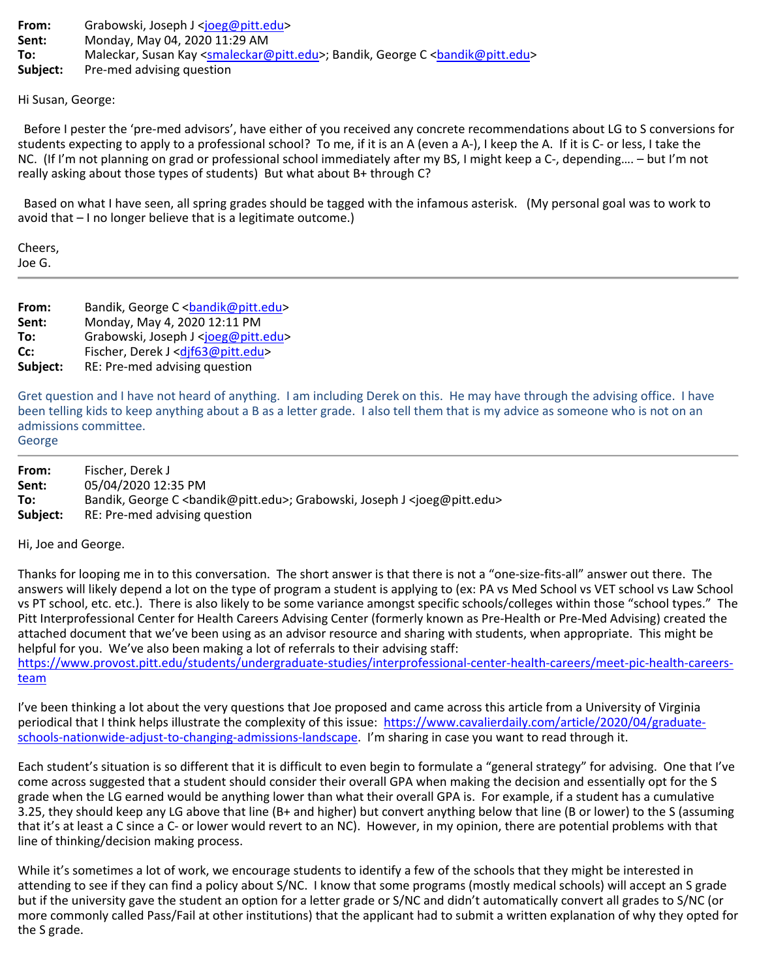**From:** Grabowski, Joseph J [<joeg@pitt.edu>](mailto:joeg@pitt.edu) **Sent:** Monday, May 04, 2020 11:29 AM To: Maleckar, Susan Kay [<smaleckar@pitt.edu>](mailto:smaleckar@pitt.edu); Bandik, George C <br/>
<br/>
<br/>
<br/>
<br/>
Maleckar, Susan Kay <smaleckar@pitt.edu>; Bandik, George C <br/>
<br/>
<br/>
<br/>
<smalectual<br/>
<smalectual<br/>  $\sim$ **Subject:** Pre-med advising question

Hi Susan, George:

Before I pester the 'pre-med advisors', have either of you received any concrete recommendations about LG to S conversions for students expecting to apply to a professional school? To me, if it is an A (even a A-), I keep the A. If it is C- or less, I take the NC. (If I'm not planning on grad or professional school immediately after my BS, I might keep a C-, depending…. – but I'm not really asking about those types of students) But what about B+ through C?

Based on what I have seen, all spring grades should be tagged with the infamous asterisk. (My personal goal was to work to avoid that – I no longer believe that is a legitimate outcome.)

Cheers, Joe G.

**From:** Bandik, George C <br/>bandik@pitt.edu> **Sent:** Monday, May 4, 2020 12:11 PM **To:** Grabowski, Joseph J [<joeg@pitt.edu>](mailto:joeg@pitt.edu) **Cc:** Fischer, Derek J [<djf63@pitt.edu>](mailto:djf63@pitt.edu) **Subject:** RE: Pre-med advising question

Gret question and I have not heard of anything. I am including Derek on this. He may have through the advising office. I have been telling kids to keep anything about a B as a letter grade. I also tell them that is my advice as someone who is not on an admissions committee.

George

| From:    | Fischer. Derek J                                                                      |
|----------|---------------------------------------------------------------------------------------|
| Sent:    | 05/04/2020 12:35 PM                                                                   |
| To:      | Bandik, George C<br>computt.edu>; Grabowski, Joseph J <ioeg@pitt.edu></ioeg@pitt.edu> |
| Subject: | RE: Pre-med advising question                                                         |

Hi, Joe and George.

Thanks for looping me in to this conversation. The short answer is that there is not a "one-size-fits-all" answer out there. The answers will likely depend a lot on the type of program a student is applying to (ex: PA vs Med School vs VET school vs Law School vs PT school, etc. etc.). There is also likely to be some variance amongst specific schools/colleges within those "school types." The Pitt Interprofessional Center for Health Careers Advising Center (formerly known as Pre-Health or Pre-Med Advising) created the attached document that we've been using as an advisor resource and sharing with students, when appropriate. This might be helpful for you. We've also been making a lot of referrals to their advising staff:

[https://www.provost.pitt.edu/students/undergraduate-studies/interprofessional-center-health-careers/meet-pic-health-careers](https://www.provost.pitt.edu/students/undergraduate-studies/interprofessional-center-health-careers/meet-pic-health-careers-team)[team](https://www.provost.pitt.edu/students/undergraduate-studies/interprofessional-center-health-careers/meet-pic-health-careers-team)

I've been thinking a lot about the very questions that Joe proposed and came across this article from a University of Virginia periodical that I think helps illustrate the complexity of this issue: [https://www.cavalierdaily.com/article/2020/04/graduate](https://nam05.safelinks.protection.outlook.com/?url=https%3A%2F%2Fwww.cavalierdaily.com%2Farticle%2F2020%2F04%2Fgraduate-schools-nationwide-adjust-to-changing-admissions-landscape&data=02%7C01%7Cjoeg%40pitt.edu%7Cd2ef3dd6ef4e4fae8c7f08d7f049250e%7C9ef9f489e0a04eeb87cc3a526112fd0d%7C1%7C0%7C637242069673826436&sdata=SeCecj0Ma8q%2FGCYpJ01aplcIU64wZTAkb1MzCMGwzN0%3D&reserved=0)[schools-nationwide-adjust-to-changing-admissions-landscape.](https://nam05.safelinks.protection.outlook.com/?url=https%3A%2F%2Fwww.cavalierdaily.com%2Farticle%2F2020%2F04%2Fgraduate-schools-nationwide-adjust-to-changing-admissions-landscape&data=02%7C01%7Cjoeg%40pitt.edu%7Cd2ef3dd6ef4e4fae8c7f08d7f049250e%7C9ef9f489e0a04eeb87cc3a526112fd0d%7C1%7C0%7C637242069673826436&sdata=SeCecj0Ma8q%2FGCYpJ01aplcIU64wZTAkb1MzCMGwzN0%3D&reserved=0) I'm sharing in case you want to read through it.

Each student's situation is so different that it is difficult to even begin to formulate a "general strategy" for advising. One that I've come across suggested that a student should consider their overall GPA when making the decision and essentially opt for the S grade when the LG earned would be anything lower than what their overall GPA is. For example, if a student has a cumulative 3.25, they should keep any LG above that line (B+ and higher) but convert anything below that line (B or lower) to the S (assuming that it's at least a C since a C- or lower would revert to an NC). However, in my opinion, there are potential problems with that line of thinking/decision making process.

While it's sometimes a lot of work, we encourage students to identify a few of the schools that they might be interested in attending to see if they can find a policy about S/NC. I know that some programs (mostly medical schools) will accept an S grade but if the university gave the student an option for a letter grade or S/NC and didn't automatically convert all grades to S/NC (or more commonly called Pass/Fail at other institutions) that the applicant had to submit a written explanation of why they opted for the S grade.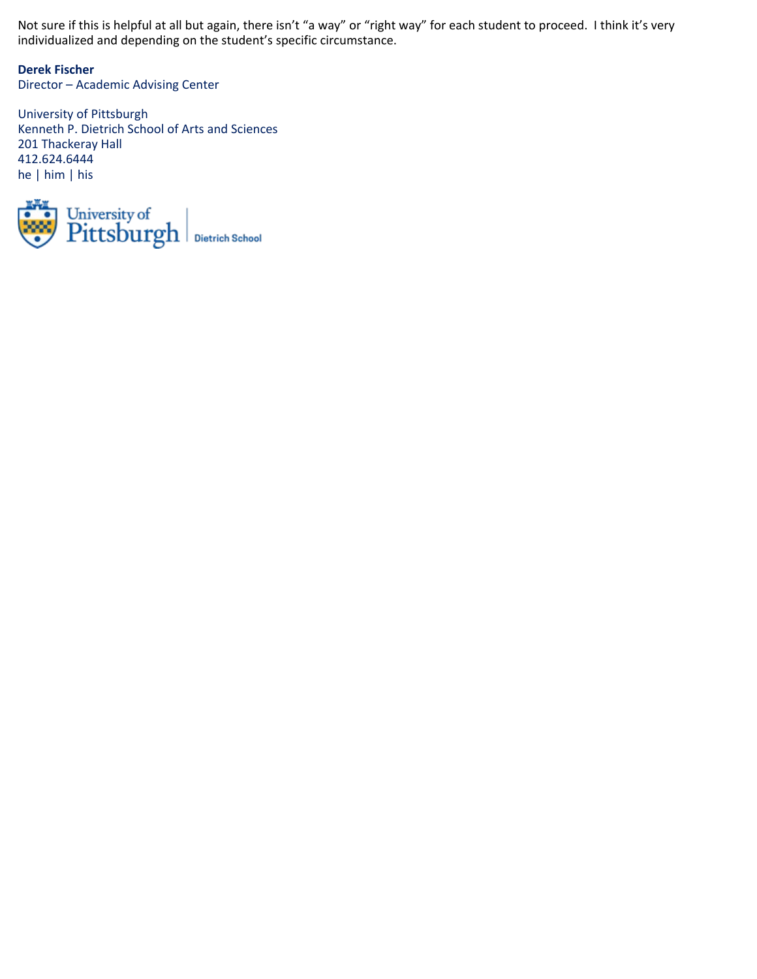Not sure if this is helpful at all but again, there isn't "a way" or "right way" for each student to proceed. I think it's very individualized and depending on the student's specific circumstance.

**Derek Fischer** Director – Academic Advising Center

University of Pittsburgh Kenneth P. Dietrich School of Arts and Sciences 201 Thackeray Hall 412.624.6444 he | him | his

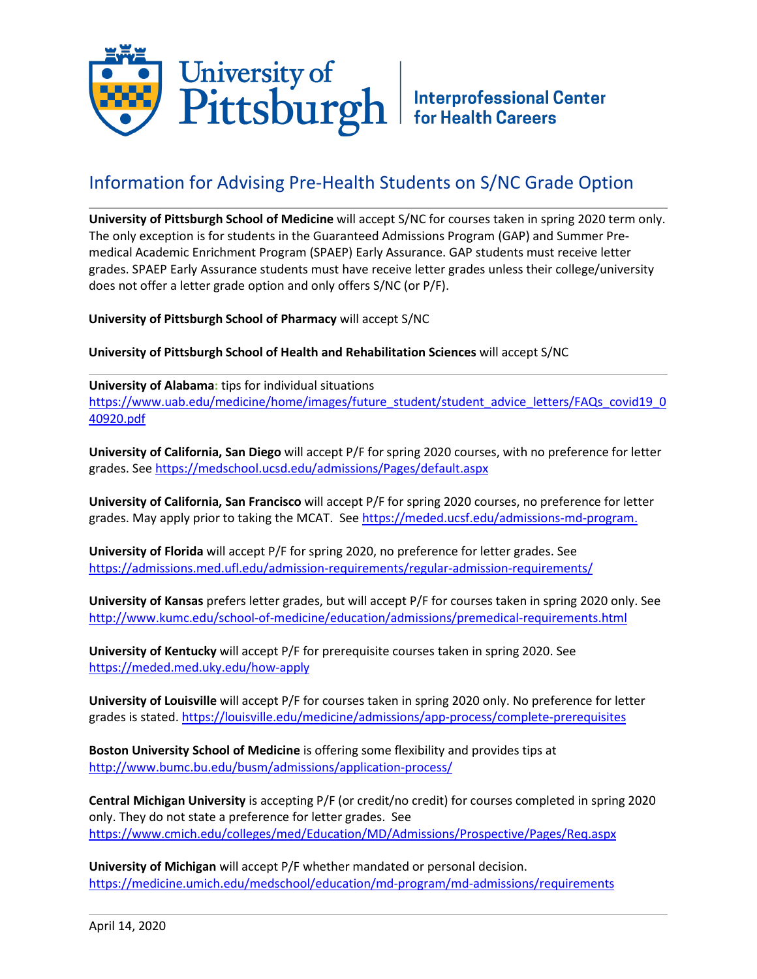

## Information for Advising Pre-Health Students on S/NC Grade Option

**University of Pittsburgh School of Medicine** will accept S/NC for courses taken in spring 2020 term only. The only exception is for students in the Guaranteed Admissions Program (GAP) and Summer Premedical Academic Enrichment Program (SPAEP) Early Assurance. GAP students must receive letter grades. SPAEP Early Assurance students must have receive letter grades unless their college/university does not offer a letter grade option and only offers S/NC (or P/F).

**University of Pittsburgh School of Pharmacy** will accept S/NC

**University of Pittsburgh School of Health and Rehabilitation Sciences** will accept S/NC

**University of Alabama:** tips for individual situations [https://www.uab.edu/medicine/home/images/future\\_student/student\\_advice\\_letters/FAQs\\_covid19\\_0](https://www.uab.edu/medicine/home/images/future_student/student_advice_letters/FAQs_covid19_040920.pdf) [40920.pdf](https://www.uab.edu/medicine/home/images/future_student/student_advice_letters/FAQs_covid19_040920.pdf)

**University of California, San Diego** will accept P/F for spring 2020 courses, with no preference for letter grades. Se[e https://medschool.ucsd.edu/admissions/Pages/default.aspx](https://medschool.ucsd.edu/admissions/Pages/default.aspx)

**University of California, San Francisco** will accept P/F for spring 2020 courses, no preference for letter grades. May apply prior to taking the MCAT. See [https://meded.ucsf.edu/admissions-md-program.](https://meded.ucsf.edu/admissions-md-program)

**University of Florida** will accept P/F for spring 2020, no preference for letter grades. See <https://admissions.med.ufl.edu/admission-requirements/regular-admission-requirements/>

**University of Kansas** prefers letter grades, but will accept P/F for courses taken in spring 2020 only. See <http://www.kumc.edu/school-of-medicine/education/admissions/premedical-requirements.html>

**University of Kentucky** will accept P/F for prerequisite courses taken in spring 2020. See <https://meded.med.uky.edu/how-apply>

**University of Louisville** will accept P/F for courses taken in spring 2020 only. No preference for letter grades is stated. <https://louisville.edu/medicine/admissions/app-process/complete-prerequisites>

**Boston University School of Medicine** is offering some flexibility and provides tips at <http://www.bumc.bu.edu/busm/admissions/application-process/>

**Central Michigan University** is accepting P/F (or credit/no credit) for courses completed in spring 2020 only. They do not state a preference for letter grades. See <https://www.cmich.edu/colleges/med/Education/MD/Admissions/Prospective/Pages/Req.aspx>

**University of Michigan** will accept P/F whether mandated or personal decision. <https://medicine.umich.edu/medschool/education/md-program/md-admissions/requirements>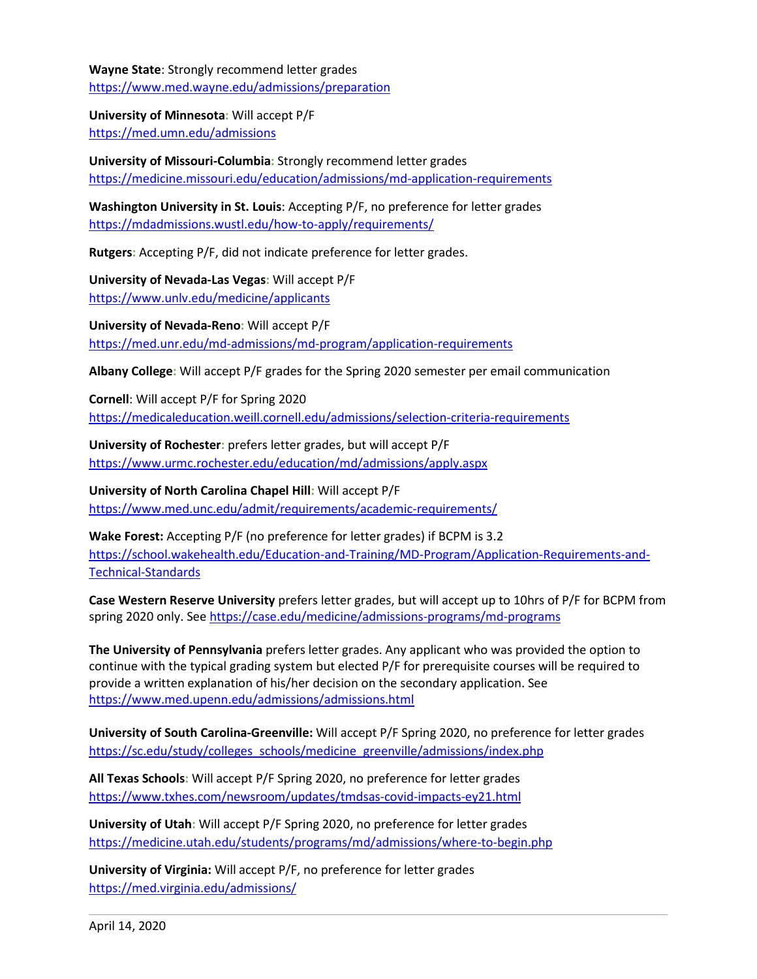**Wayne State**: Strongly recommend letter grades <https://www.med.wayne.edu/admissions/preparation>

**University of Minnesota:** Will accept P/F <https://med.umn.edu/admissions>

**University of Missouri-Columbia:** Strongly recommend letter grades <https://medicine.missouri.edu/education/admissions/md-application-requirements>

**Washington University in St. Louis**: Accepting P/F, no preference for letter grades <https://mdadmissions.wustl.edu/how-to-apply/requirements/>

**Rutgers:** Accepting P/F, did not indicate preference for letter grades.

**University of Nevada-Las Vegas:** Will accept P/F <https://www.unlv.edu/medicine/applicants>

**University of Nevada-Reno:** Will accept P/F <https://med.unr.edu/md-admissions/md-program/application-requirements>

**Albany College:** Will accept P/F grades for the Spring 2020 semester per email communication

**Cornell**: Will accept P/F for Spring 2020 <https://medicaleducation.weill.cornell.edu/admissions/selection-criteria-requirements>

**University of Rochester:** prefers letter grades, but will accept P/F <https://www.urmc.rochester.edu/education/md/admissions/apply.aspx>

**University of North Carolina Chapel Hill:** Will accept P/F <https://www.med.unc.edu/admit/requirements/academic-requirements/>

**Wake Forest:** Accepting P/F (no preference for letter grades) if BCPM is 3.2 [https://school.wakehealth.edu/Education-and-Training/MD-Program/Application-Requirements-and-](https://school.wakehealth.edu/Education-and-Training/MD-Program/Application-Requirements-and-Technical-Standards)[Technical-Standards](https://school.wakehealth.edu/Education-and-Training/MD-Program/Application-Requirements-and-Technical-Standards)

**Case Western Reserve University** prefers letter grades, but will accept up to 10hrs of P/F for BCPM from spring 2020 only. Se[e https://case.edu/medicine/admissions-programs/md-programs](https://case.edu/medicine/admissions-programs/md-programs)

**The University of Pennsylvania** prefers letter grades. Any applicant who was provided the option to continue with the typical grading system but elected P/F for prerequisite courses will be required to provide a written explanation of his/her decision on the secondary application. See <https://www.med.upenn.edu/admissions/admissions.html>

**University of South Carolina-Greenville:** Will accept P/F Spring 2020, no preference for letter grades [https://sc.edu/study/colleges\\_schools/medicine\\_greenville/admissions/index.php](https://sc.edu/study/colleges_schools/medicine_greenville/admissions/index.php)

**All Texas Schools:** Will accept P/F Spring 2020, no preference for letter grades <https://www.txhes.com/newsroom/updates/tmdsas-covid-impacts-ey21.html>

**University of Utah:** Will accept P/F Spring 2020, no preference for letter grades <https://medicine.utah.edu/students/programs/md/admissions/where-to-begin.php>

**University of Virginia:** Will accept P/F, no preference for letter grades <https://med.virginia.edu/admissions/>